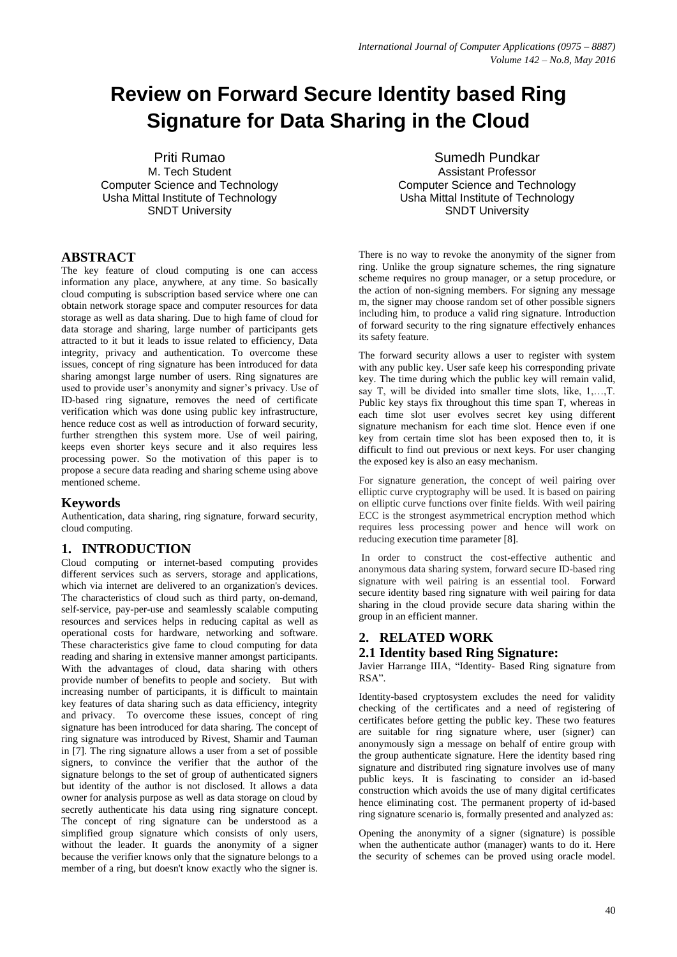# **Review on Forward Secure Identity based Ring Signature for Data Sharing in the Cloud**

Priti Rumao M. Tech Student Computer Science and Technology Usha Mittal Institute of Technology SNDT University

# **ABSTRACT**

The key feature of cloud computing is one can access information any place, anywhere, at any time. So basically cloud computing is subscription based service where one can obtain network storage space and computer resources for data storage as well as data sharing. Due to high fame of cloud for data storage and sharing, large number of participants gets attracted to it but it leads to issue related to efficiency, Data integrity, privacy and authentication. To overcome these issues, concept of ring signature has been introduced for data sharing amongst large number of users. Ring signatures are used to provide user's anonymity and signer's privacy. Use of ID-based ring signature, removes the need of certificate verification which was done using public key infrastructure, hence reduce cost as well as introduction of forward security, further strengthen this system more. Use of weil pairing, keeps even shorter keys secure and it also requires less processing power. So the motivation of this paper is to propose a secure data reading and sharing scheme using above mentioned scheme.

## **Keywords**

Authentication, data sharing, ring signature, forward security, cloud computing.

# **1. INTRODUCTION**

Cloud computing or internet-based computing provides different services such as servers, storage and applications, which via internet are delivered to an organization's devices. The characteristics of cloud such as third party, on-demand, self-service, pay-per-use and seamlessly scalable computing resources and services helps in reducing capital as well as operational costs for hardware, networking and software. These characteristics give fame to cloud computing for data reading and sharing in extensive manner amongst participants. With the advantages of cloud, data sharing with others provide number of benefits to people and society. But with increasing number of participants, it is difficult to maintain key features of data sharing such as data efficiency, integrity and privacy. To overcome these issues, concept of ring signature has been introduced for data sharing. The concept of ring signature was introduced by Rivest, Shamir and Tauman in [7]. The ring signature allows a user from a set of possible signers, to convince the verifier that the author of the signature belongs to the set of group of authenticated signers but identity of the author is not disclosed. It allows a data owner for analysis purpose as well as data storage on cloud by secretly authenticate his data using ring signature concept. The concept of ring signature can be understood as a simplified group signature which consists of only users, without the leader. It guards the anonymity of a signer because the verifier knows only that the signature belongs to a member of a ring, but doesn't know exactly who the signer is.

Sumedh Pundkar Assistant Professor Computer Science and Technology Usha Mittal Institute of Technology SNDT University

There is no way to revoke the anonymity of the signer from ring. Unlike the group signature schemes, the ring signature scheme requires no group manager, or a setup procedure, or the action of non-signing members. For signing any message m, the signer may choose random set of other possible signers including him, to produce a valid ring signature. Introduction of forward security to the ring signature effectively enhances its safety feature.

The forward security allows a user to register with system with any public key. User safe keep his corresponding private key. The time during which the public key will remain valid, say T, will be divided into smaller time slots, like, 1,…,T. Public key stays fix throughout this time span T, whereas in each time slot user evolves secret key using different signature mechanism for each time slot. Hence even if one key from certain time slot has been exposed then to, it is difficult to find out previous or next keys. For user changing the exposed key is also an easy mechanism.

For signature generation, the concept of weil pairing over elliptic curve cryptography will be used. It is based on pairing on elliptic curve functions over finite fields. With weil pairing ECC is the strongest asymmetrical encryption method which requires less processing power and hence will work on reducing execution time parameter [8].

In order to construct the cost-effective authentic and anonymous data sharing system, forward secure ID-based ring signature with weil pairing is an essential tool. Forward secure identity based ring signature with weil pairing for data sharing in the cloud provide secure data sharing within the group in an efficient manner.

# **2. RELATED WORK**

## **2.1 Identity based Ring Signature:**

Javier Harrange IIIA, "Identity- Based Ring signature from RSA".

Identity-based cryptosystem excludes the need for validity checking of the certificates and a need of registering of certificates before getting the public key. These two features are suitable for ring signature where, user (signer) can anonymously sign a message on behalf of entire group with the group authenticate signature. Here the identity based ring signature and distributed ring signature involves use of many public keys. It is fascinating to consider an id-based construction which avoids the use of many digital certificates hence eliminating cost. The permanent property of id-based ring signature scenario is, formally presented and analyzed as:

Opening the anonymity of a signer (signature) is possible when the authenticate author (manager) wants to do it. Here the security of schemes can be proved using oracle model.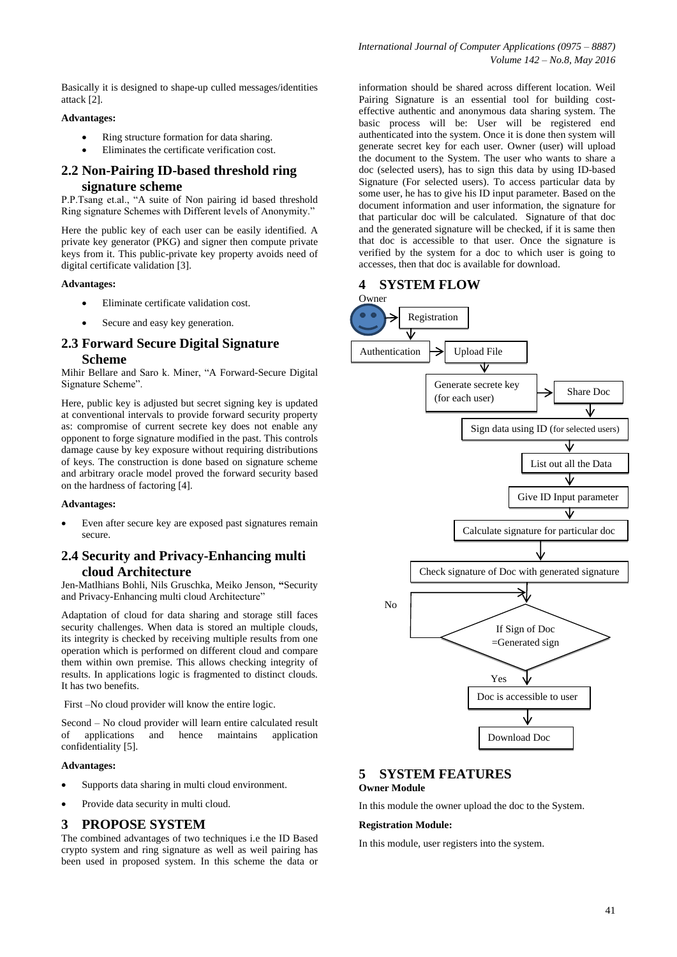Basically it is designed to shape-up culled messages/identities attack [2].

## **Advantages:**

- Ring structure formation for data sharing.
- Eliminates the certificate verification cost.

# **2.2 Non-Pairing ID-based threshold ring signature scheme**

P.P.Tsang et.al., "A suite of Non pairing id based threshold Ring signature Schemes with Different levels of Anonymity."

Here the public key of each user can be easily identified. A private key generator (PKG) and signer then compute private keys from it. This public-private key property avoids need of digital certificate validation [3].

#### **Advantages:**

- Eliminate certificate validation cost.
- Secure and easy key generation.

# **2.3 Forward Secure Digital Signature Scheme**

Mihir Bellare and Saro k. Miner, "A Forward-Secure Digital Signature Scheme".

Here, public key is adjusted but secret signing key is updated at conventional intervals to provide forward security property as: compromise of current secrete key does not enable any opponent to forge signature modified in the past. This controls damage cause by key exposure without requiring distributions of keys. The construction is done based on signature scheme and arbitrary oracle model proved the forward security based on the hardness of factoring [4].

## **Advantages:**

 Even after secure key are exposed past signatures remain secure.

# **2.4 Security and Privacy-Enhancing multi cloud Architecture**

Jen-Matlhians Bohli, Nils Gruschka, Meiko Jenson, **"**Security and Privacy-Enhancing multi cloud Architecture"

Adaptation of cloud for data sharing and storage still faces security challenges. When data is stored an multiple clouds, its integrity is checked by receiving multiple results from one operation which is performed on different cloud and compare them within own premise. This allows checking integrity of results. In applications logic is fragmented to distinct clouds. It has two benefits.

First –No cloud provider will know the entire logic.

Second – No cloud provider will learn entire calculated result of applications and hence maintains application confidentiality [5].

#### **Advantages:**

- Supports data sharing in multi cloud environment.
- Provide data security in multi cloud.

## **3 PROPOSE SYSTEM**

The combined advantages of two techniques i.e the ID Based crypto system and ring signature as well as weil pairing has been used in proposed system. In this scheme the data or information should be shared across different location. Weil Pairing Signature is an essential tool for building costeffective authentic and anonymous data sharing system. The basic process will be: User will be registered end authenticated into the system. Once it is done then system will generate secret key for each user. Owner (user) will upload the document to the System. The user who wants to share a doc (selected users), has to sign this data by using ID-based Signature (For selected users). To access particular data by some user, he has to give his ID input parameter. Based on the document information and user information, the signature for that particular doc will be calculated. Signature of that doc and the generated signature will be checked, if it is same then that doc is accessible to that user. Once the signature is verified by the system for a doc to which user is going to accesses, then that doc is available for download.



# **5 SYSTEM FEATURES**

## **Owner Module**

In this module the owner upload the doc to the System.

#### **Registration Module:**

In this module, user registers into the system.